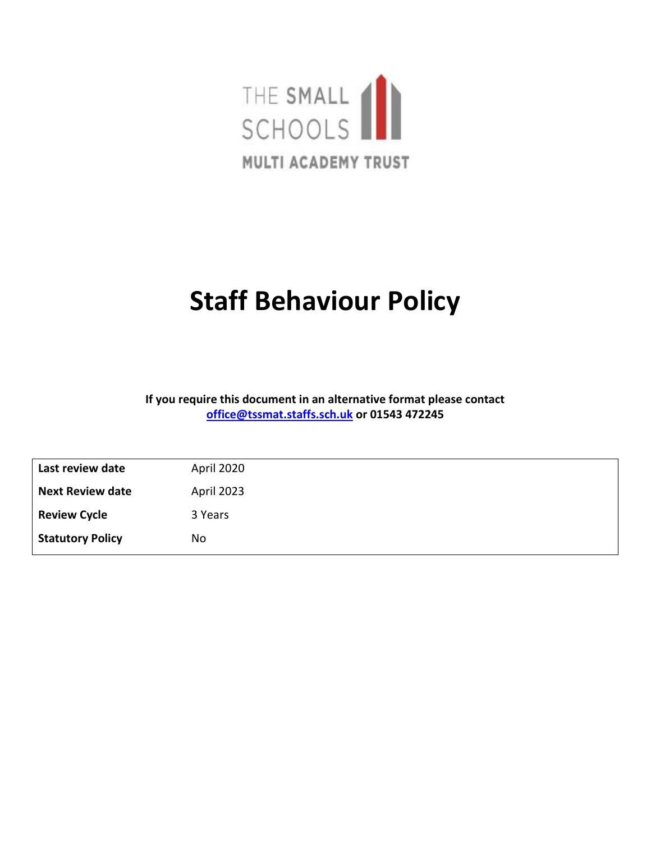

## **Staff Behaviour Policy**

**If you require this document in an alternative format please contact [office@tssmat.staffs.sch.uk](mailto:office@tssmat.staffs.sch.uk) or 01543 472245**

| Last review date        | April 2020 |
|-------------------------|------------|
| <b>Next Review date</b> | April 2023 |
| <b>Review Cycle</b>     | 3 Years    |
| <b>Statutory Policy</b> | <b>No</b>  |